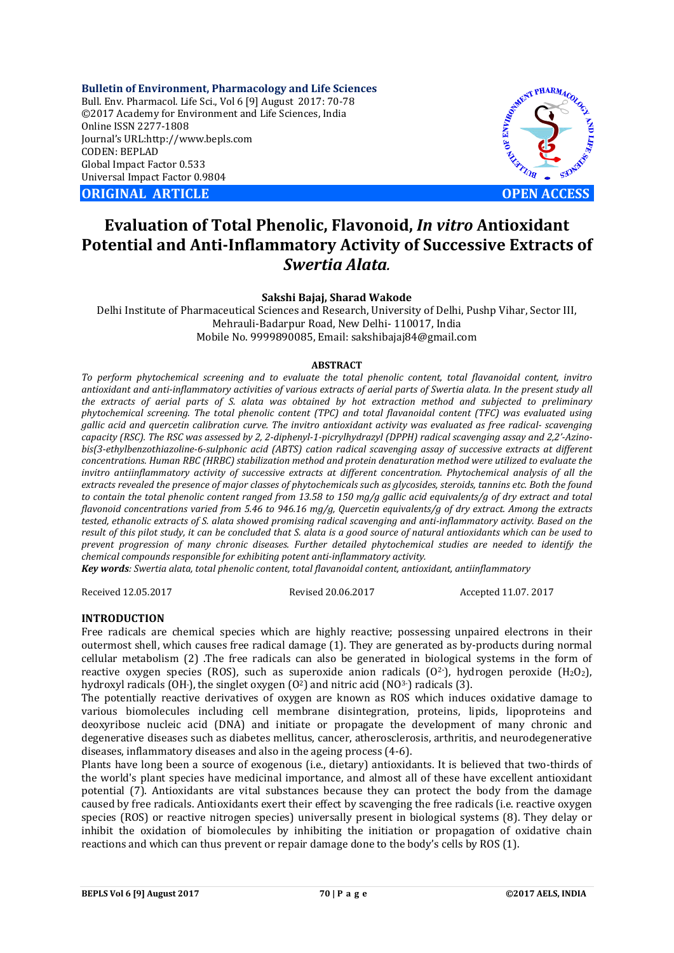**Bulletin of Environment, Pharmacology and Life Sciences** Bull. Env. Pharmacol. Life Sci., Vol 6 [9] August 2017: 70-78 ©2017 Academy for Environment and Life Sciences, India Online ISSN 2277-1808 Journal's URL:http://www.bepls.com CODEN: BEPLAD Global Impact Factor 0.533 Universal Impact Factor 0.9804

**ORIGINAL ARTICLE OPEN ACCESS**



# **Evaluation of Total Phenolic, Flavonoid,** *In vitro* **Antioxidant Potential and Anti-Inflammatory Activity of Successive Extracts of**  *Swertia Alata.*

**Sakshi Bajaj, Sharad Wakode**

Delhi Institute of Pharmaceutical Sciences and Research, University of Delhi, Pushp Vihar, Sector III, Mehrauli-Badarpur Road, New Delhi- 110017, India Mobile No. 9999890085, Email: sakshibajaj84@gmail.com

# **ABSTRACT**

*To perform phytochemical screening and to evaluate the total phenolic content, total flavanoidal content, invitro antioxidant and anti-inflammatory activities of various extracts of aerial parts of Swertia alata. In the present study all the extracts of aerial parts of S. alata was obtained by hot extraction method and subjected to preliminary phytochemical screening. The total phenolic content (TPC) and total flavanoidal content (TFC) was evaluated using gallic acid and quercetin calibration curve. The invitro antioxidant activity was evaluated as free radical- scavenging capacity (RSC). The RSC was assessed by 2, 2-diphenyl-1-picrylhydrazyl (DPPH) radical scavenging assay and 2,2'-Azinobis(3-ethylbenzothiazoline-6-sulphonic acid (ABTS) cation radical scavenging assay of successive extracts at different concentrations. Human RBC (HRBC) stabilization method and protein denaturation method were utilized to evaluate the invitro antiinflammatory activity of successive extracts at different concentration. Phytochemical analysis of all the extracts revealed the presence of major classes of phytochemicals such as glycosides, steroids, tannins etc. Both the found to contain the total phenolic content ranged from 13.58 to 150 mg/g gallic acid equivalents/g of dry extract and total flavonoid concentrations varied from 5.46 to 946.16 mg/g, Quercetin equivalents/g of dry extract. Among the extracts tested, ethanolic extracts of S. alata showed promising radical scavenging and anti-inflammatory activity. Based on the result of this pilot study, it can be concluded that S. alata is a good source of natural antioxidants which can be used to prevent progression of many chronic diseases. Further detailed phytochemical studies are needed to identify the chemical compounds responsible for exhibiting potent anti-inflammatory activity.*

*Key words: Swertia alata, total phenolic content, total flavanoidal content, antioxidant, antiinflammatory*

Received 12.05.2017 Revised 20.06.2017 Accepted 11.07. 2017

# **INTRODUCTION**

Free radicals are chemical species which are highly reactive; possessing unpaired electrons in their outermost shell, which causes free radical damage (1). They are generated as by-products during normal cellular metabolism (2) .The free radicals can also be generated in biological systems in the form of reactive oxygen species (ROS), such as superoxide anion radicals (O<sup>2</sup>·), hydrogen peroxide (H<sub>2</sub>O<sub>2</sub>), hydroxyl radicals (OH·), the singlet oxygen (O<sup>2</sup>) and nitric acid (NO<sup>3-</sup>) radicals (3).

The potentially reactive derivatives of oxygen are known as ROS which induces oxidative damage to various biomolecules including cell membrane disintegration, proteins, lipids, lipoproteins and deoxyribose nucleic acid (DNA) and initiate or propagate the development of many chronic and degenerative diseases such as diabetes mellitus, cancer, atherosclerosis, arthritis, and neurodegenerative diseases, inflammatory diseases and also in the ageing process (4-6).

Plants have long been a source of exogenous (i.e., dietary) antioxidants. It is believed that two-thirds of the world's plant species have medicinal importance, and almost all of these have excellent antioxidant potential (7). Antioxidants are vital substances because they can protect the body from the damage caused by free radicals. Antioxidants exert their effect by scavenging the free radicals (i.e. reactive oxygen species (ROS) or reactive nitrogen species) universally present in biological systems (8). They delay or inhibit the oxidation of biomolecules by inhibiting the initiation or propagation of oxidative chain reactions and which can thus prevent or repair damage done to the body's cells by ROS (1).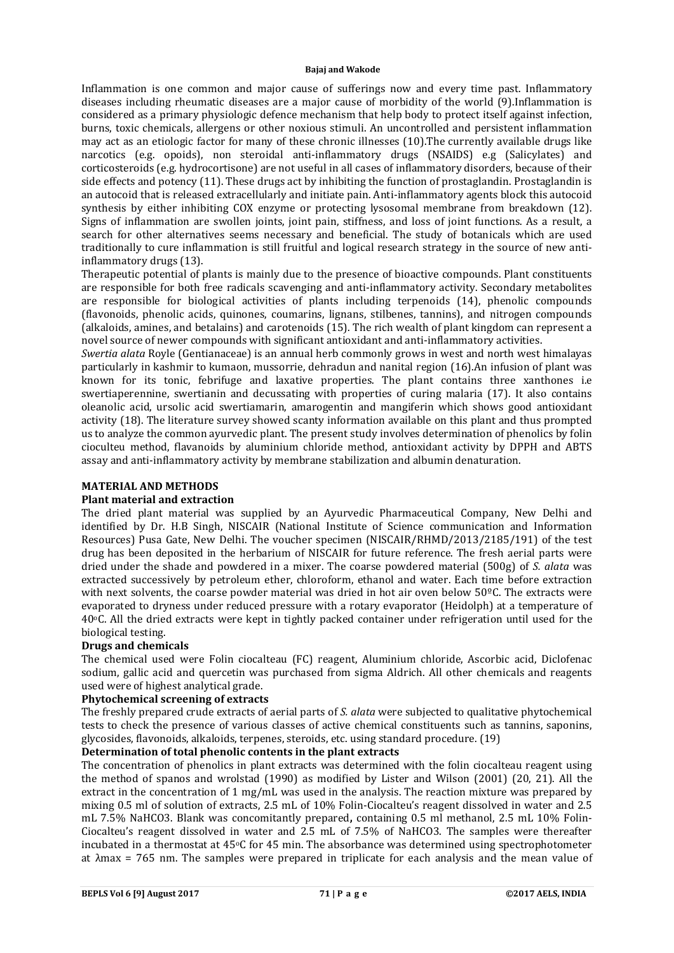Inflammation is one common and major cause of sufferings now and every time past. Inflammatory diseases including rheumatic diseases are a major cause of morbidity of the world (9).Inflammation is considered as a primary physiologic defence mechanism that help body to protect itself against infection, burns, toxic chemicals, allergens or other noxious stimuli. An uncontrolled and persistent inflammation may act as an etiologic factor for many of these chronic illnesses (10).The currently available drugs like narcotics (e.g. opoids), non steroidal anti-inflammatory drugs (NSAIDS) e.g (Salicylates) and corticosteroids (e.g. hydrocortisone) are not useful in all cases of inflammatory disorders, because of their side effects and potency (11). These drugs act by inhibiting the function of prostaglandin. Prostaglandin is an autocoid that is released extracellularly and initiate pain. Anti-inflammatory agents block this autocoid synthesis by either inhibiting COX enzyme or protecting lysosomal membrane from breakdown (12). Signs of inflammation are swollen joints, joint pain, stiffness, and loss of joint functions. As a result, a search for other alternatives seems necessary and beneficial. The study of botanicals which are used traditionally to cure inflammation is still fruitful and logical research strategy in the source of new antiinflammatory drugs (13).

Therapeutic potential of plants is mainly due to the presence of bioactive compounds. Plant constituents are responsible for both free radicals scavenging and anti-inflammatory activity. Secondary metabolites are responsible for biological activities of plants including terpenoids (14), phenolic compounds (flavonoids, phenolic acids, quinones, coumarins, lignans, stilbenes, tannins), and nitrogen compounds (alkaloids, amines, and betalains) and carotenoids (15). The rich wealth of plant kingdom can represent a novel source of newer compounds with significant antioxidant and anti-inflammatory activities.

*Swertia alata* Royle (Gentianaceae) is an annual herb commonly grows in west and north west himalayas particularly in kashmir to kumaon, mussorrie, dehradun and nanital region (16).An infusion of plant was known for its tonic, febrifuge and laxative properties. The plant contains three xanthones i.e swertiaperennine, swertianin and decussating with properties of curing malaria (17). It also contains oleanolic acid, ursolic acid swertiamarin, amarogentin and mangiferin which shows good antioxidant activity (18). The literature survey showed scanty information available on this plant and thus prompted us to analyze the common ayurvedic plant. The present study involves determination of phenolics by folin cioculteu method, flavanoids by aluminium chloride method, antioxidant activity by DPPH and ABTS assay and anti-inflammatory activity by membrane stabilization and albumin denaturation.

# **MATERIAL AND METHODS**

#### **Plant material and extraction**

The dried plant material was supplied by an Ayurvedic Pharmaceutical Company, New Delhi and identified by Dr. H.B Singh, NISCAIR (National Institute of Science communication and Information Resources) Pusa Gate, New Delhi. The voucher specimen (NISCAIR/RHMD/2013/2185/191) of the test drug has been deposited in the herbarium of NISCAIR for future reference. The fresh aerial parts were dried under the shade and powdered in a mixer. The coarse powdered material (500g) of *S. alata* was extracted successively by petroleum ether, chloroform, ethanol and water. Each time before extraction with next solvents, the coarse powder material was dried in hot air oven below 50ºC. The extracts were evaporated to dryness under reduced pressure with a rotary evaporator (Heidolph) at a temperature of 40oC. All the dried extracts were kept in tightly packed container under refrigeration until used for the biological testing.

# **Drugs and chemicals**

The chemical used were Folin ciocalteau (FC) reagent, Aluminium chloride, Ascorbic acid, Diclofenac sodium, gallic acid and quercetin was purchased from sigma Aldrich. All other chemicals and reagents used were of highest analytical grade.

#### **Phytochemical screening of extracts**

The freshly prepared crude extracts of aerial parts of *S. alata* were subjected to qualitative phytochemical tests to check the presence of various classes of active chemical constituents such as tannins, saponins, glycosides, flavonoids, alkaloids, terpenes, steroids, etc. using standard procedure. (19)

# **Determination of total phenolic contents in the plant extracts**

The concentration of phenolics in plant extracts was determined with the folin ciocalteau reagent using the method of spanos and wrolstad (1990) as modified by Lister and Wilson (2001) (20, 21). All the extract in the concentration of 1 mg/mL was used in the analysis. The reaction mixture was prepared by mixing 0.5 ml of solution of extracts, 2.5 mL of 10% Folin-Ciocalteu's reagent dissolved in water and 2.5 mL 7.5% NaHCO3. Blank was concomitantly prepared**,** containing 0.5 ml methanol, 2.5 mL 10% Folin-Ciocalteu's reagent dissolved in water and 2.5 mL of 7.5% of NaHCO3. The samples were thereafter incubated in a thermostat at  $45\degree$ C for  $45$  min. The absorbance was determined using spectrophotometer at λmax = 765 nm. The samples were prepared in triplicate for each analysis and the mean value of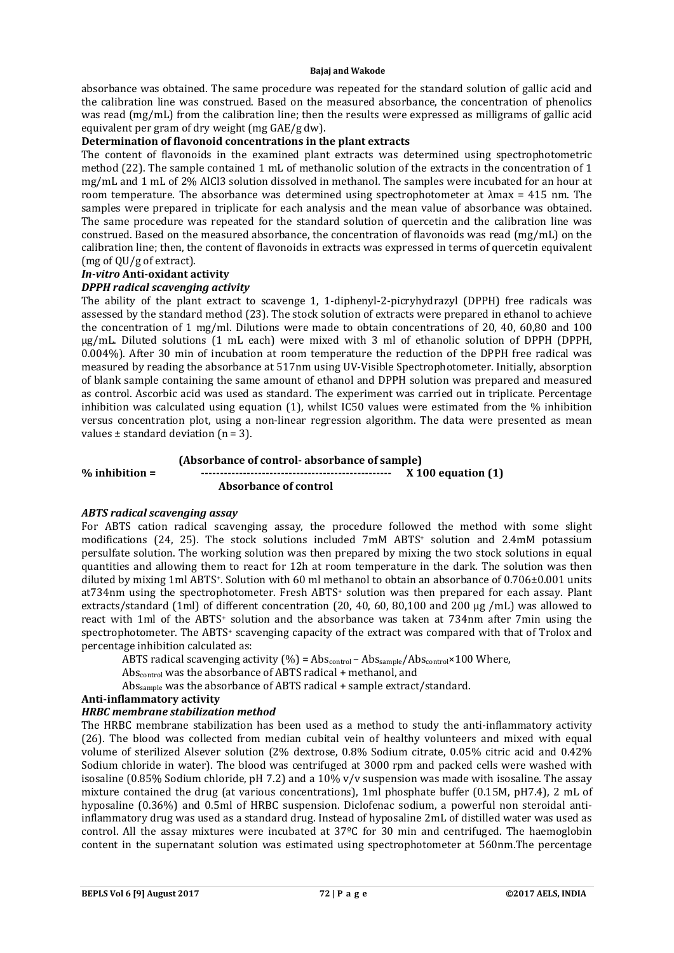absorbance was obtained. The same procedure was repeated for the standard solution of gallic acid and the calibration line was construed. Based on the measured absorbance, the concentration of phenolics was read (mg/mL) from the calibration line; then the results were expressed as milligrams of gallic acid equivalent per gram of dry weight (mg GAE/g dw).

# **Determination of flavonoid concentrations in the plant extracts**

The content of flavonoids in the examined plant extracts was determined using spectrophotometric method (22). The sample contained 1 mL of methanolic solution of the extracts in the concentration of 1 mg/mL and 1 mL of 2% AlCl3 solution dissolved in methanol. The samples were incubated for an hour at room temperature. The absorbance was determined using spectrophotometer at λmax = 415 nm. The samples were prepared in triplicate for each analysis and the mean value of absorbance was obtained. The same procedure was repeated for the standard solution of quercetin and the calibration line was construed. Based on the measured absorbance, the concentration of flavonoids was read (mg/mL) on the calibration line; then, the content of flavonoids in extracts was expressed in terms of quercetin equivalent (mg of QU/g of extract).

# *In-vitro* **Anti-oxidant activity**

# *DPPH radical scavenging activity*

The ability of the plant extract to scavenge 1, 1-diphenyl-2-picryhydrazyl (DPPH) free radicals was assessed by the standard method (23). The stock solution of extracts were prepared in ethanol to achieve the concentration of 1 mg/ml. Dilutions were made to obtain concentrations of 20, 40, 60,80 and 100 μg/mL. Diluted solutions (1 mL each) were mixed with 3 ml of ethanolic solution of DPPH (DPPH, 0.004%). After 30 min of incubation at room temperature the reduction of the DPPH free radical was measured by reading the absorbance at 517nm using UV-Visible Spectrophotometer. Initially, absorption of blank sample containing the same amount of ethanol and DPPH solution was prepared and measured as control. Ascorbic acid was used as standard. The experiment was carried out in triplicate. Percentage inhibition was calculated using equation  $(1)$ , whilst IC50 values were estimated from the % inhibition versus concentration plot, using a non-linear regression algorithm. The data were presented as mean values  $\pm$  standard deviation (n = 3).

# **(Absorbance of control- absorbance of sample)**

**% inhibition = -------------------------------------------------- X 100 equation (1)** 

 **Absorbance of control**

# *ABTS radical scavenging assay*

For ABTS cation radical scavenging assay, the procedure followed the method with some slight modifications (24, 25). The stock solutions included 7mM ABTS+ solution and 2.4mM potassium persulfate solution. The working solution was then prepared by mixing the two stock solutions in equal quantities and allowing them to react for 12h at room temperature in the dark. The solution was then diluted by mixing 1ml ABTS+. Solution with 60 ml methanol to obtain an absorbance of 0.706±0.001 units at734nm using the spectrophotometer. Fresh ABTS+ solution was then prepared for each assay. Plant extracts/standard (1ml) of different concentration (20, 40, 60, 80,100 and 200 μg /mL) was allowed to react with 1ml of the ABTS+ solution and the absorbance was taken at 734nm after 7min using the spectrophotometer. The ABTS<sup>+</sup> scavenging capacity of the extract was compared with that of Trolox and percentage inhibition calculated as:

ABTS radical scavenging activity  $(\% )$  = Abs<sub>control</sub> – Abs<sub>sample</sub>/Abs<sub>control</sub>×100 Where,

Abs<sub>control</sub> was the absorbance of ABTS radical + methanol, and

Abssample was the absorbance of ABTS radical + sample extract/standard.

# **Anti-inflammatory activity**

# *HRBC membrane stabilization method*

The HRBC membrane stabilization has been used as a method to study the anti-inflammatory activity (26). The blood was collected from median cubital vein of healthy volunteers and mixed with equal volume of sterilized Alsever solution (2% dextrose, 0.8% Sodium citrate, 0.05% citric acid and 0.42% Sodium chloride in water). The blood was centrifuged at 3000 rpm and packed cells were washed with isosaline (0.85% Sodium chloride, pH 7.2) and a  $10\%$  v/v suspension was made with isosaline. The assay mixture contained the drug (at various concentrations), 1ml phosphate buffer (0.15M, pH7.4), 2 mL of hyposaline (0.36%) and 0.5ml of HRBC suspension. Diclofenac sodium, a powerful non steroidal antiinflammatory drug was used as a standard drug. Instead of hyposaline 2mL of distilled water was used as control. All the assay mixtures were incubated at 37ºC for 30 min and centrifuged. The haemoglobin content in the supernatant solution was estimated using spectrophotometer at 560nm.The percentage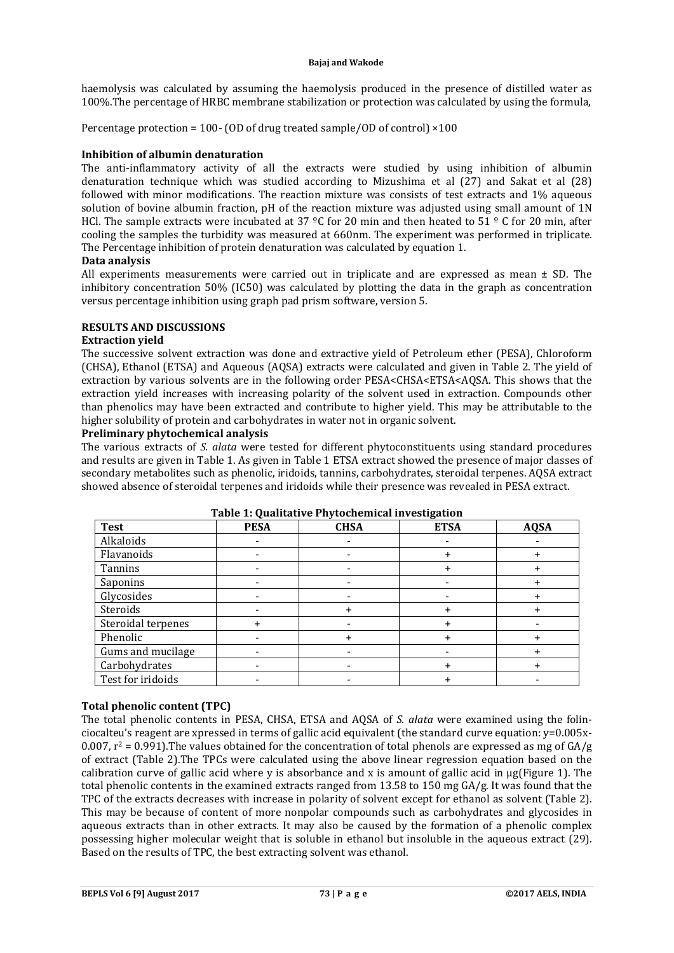haemolysis was calculated by assuming the haemolysis produced in the presence of distilled water as 100%.The percentage of HRBC membrane stabilization or protection was calculated by using the formula,

Percentage protection = 100- (OD of drug treated sample/OD of control) ×100

# **Inhibition of albumin denaturation**

The anti-inflammatory activity of all the extracts were studied by using inhibition of albumin denaturation technique which was studied according to Mizushima et al (27) and Sakat et al (28) followed with minor modifications. The reaction mixture was consists of test extracts and 1% aqueous solution of bovine albumin fraction, pH of the reaction mixture was adjusted using small amount of 1N HCl. The sample extracts were incubated at 37 °C for 20 min and then heated to 51 ° C for 20 min, after cooling the samples the turbidity was measured at 660nm. The experiment was performed in triplicate. The Percentage inhibition of protein denaturation was calculated by equation 1.

# **Data analysis**

All experiments measurements were carried out in triplicate and are expressed as mean  $\pm$  SD. The inhibitory concentration 50% (IC50) was calculated by plotting the data in the graph as concentration versus percentage inhibition using graph pad prism software, version 5.

# **RESULTS AND DISCUSSIONS**

# **Extraction yield**

The successive solvent extraction was done and extractive yield of Petroleum ether (PESA), Chloroform (CHSA), Ethanol (ETSA) and Aqueous (AQSA) extracts were calculated and given in Table 2. The yield of extraction by various solvents are in the following order PESA<CHSA<ETSA<AQSA. This shows that the extraction yield increases with increasing polarity of the solvent used in extraction. Compounds other than phenolics may have been extracted and contribute to higher yield. This may be attributable to the higher solubility of protein and carbohydrates in water not in organic solvent.

# **Preliminary phytochemical analysis**

The various extracts of *S. alata* were tested for different phytoconstituents using standard procedures and results are given in Table 1. As given in Table 1 ETSA extract showed the presence of major classes of secondary metabolites such as phenolic, iridoids, tannins, carbohydrates, steroidal terpenes. AQSA extract showed absence of steroidal terpenes and iridoids while their presence was revealed in PESA extract.

| <b>Test</b>        | <b>PESA</b> | <b>CHSA</b> | <b>ETSA</b> | <b>AQSA</b> |
|--------------------|-------------|-------------|-------------|-------------|
| Alkaloids          |             |             |             |             |
| Flavanoids         |             |             |             |             |
| Tannins            |             |             |             |             |
| Saponins           |             |             |             |             |
| Glycosides         |             |             |             |             |
| Steroids           |             |             |             |             |
| Steroidal terpenes |             |             |             |             |
| Phenolic           |             |             |             |             |
| Gums and mucilage  |             |             |             |             |
| Carbohydrates      |             |             |             |             |
| Test for iridoids  |             |             |             |             |

# **Table 1: Qualitative Phytochemical investigation**

# **Total phenolic content (TPC)**

The total phenolic contents in PESA, CHSA, ETSA and AQSA of *S. alata* were examined using the folinciocalteu's reagent are xpressed in terms of gallic acid equivalent (the standard curve equation: y=0.005x-0.007,  $r^2 = 0.991$ . The values obtained for the concentration of total phenols are expressed as mg of  $GA/g$ of extract (Table 2).The TPCs were calculated using the above linear regression equation based on the calibration curve of gallic acid where y is absorbance and x is amount of gallic acid in µg(Figure 1). The total phenolic contents in the examined extracts ranged from 13.58 to 150 mg GA/g. It was found that the TPC of the extracts decreases with increase in polarity of solvent except for ethanol as solvent (Table 2). This may be because of content of more nonpolar compounds such as carbohydrates and glycosides in aqueous extracts than in other extracts. It may also be caused by the formation of a phenolic complex possessing higher molecular weight that is soluble in ethanol but insoluble in the aqueous extract (29). Based on the results of TPC, the best extracting solvent was ethanol.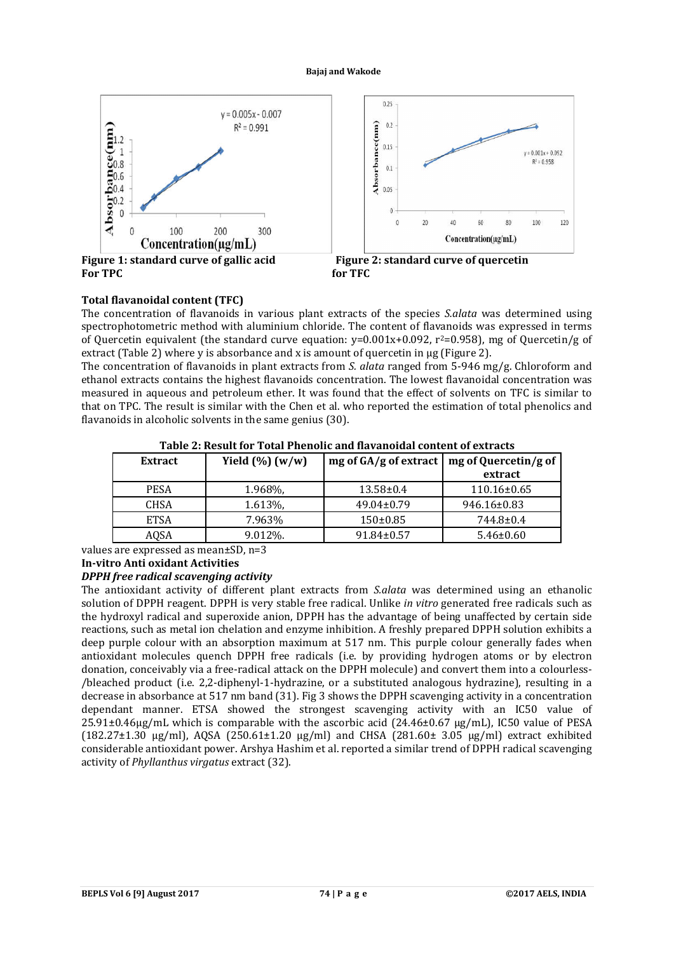

# **Total flavanoidal content (TFC)**

The concentration of flavanoids in various plant extracts of the species *S.alata* was determined using spectrophotometric method with aluminium chloride. The content of flavanoids was expressed in terms of Quercetin equivalent (the standard curve equation:  $v=0.001x+0.092$ ,  $r^2=0.958$ ), mg of Quercetin/g of extract (Table 2) where y is absorbance and x is amount of quercetin in µg (Figure 2).

The concentration of flavanoids in plant extracts from *S. alata* ranged from 5-946 mg/g. Chloroform and ethanol extracts contains the highest flavanoids concentration. The lowest flavanoidal concentration was measured in aqueous and petroleum ether. It was found that the effect of solvents on TFC is similar to that on TPC. The result is similar with the Chen et al. who reported the estimation of total phenolics and flavanoids in alcoholic solvents in the same genius (30).

| Extract     | Yield $(\%)$ (w/w) | mg of $GA/g$ of extract   mg of Quercetin/g of | extract           |
|-------------|--------------------|------------------------------------------------|-------------------|
| <b>PESA</b> | 1.968%             | $13.58 \pm 0.4$                                | $110.16 \pm 0.65$ |
| <b>CHSA</b> | 1.613\%            | $49.04 \pm 0.79$                               | 946.16±0.83       |
| <b>ETSA</b> | 7.963%             | $150 \pm 0.85$                                 | 744.8±0.4         |
| AOSA        | 9.012%.            | $91.84 \pm 0.57$                               | $5.46 \pm 0.60$   |

# **Table 2: Result for Total Phenolic and flavanoidal content of extracts**

values are expressed as mean±SD, n=3

# **In-vitro Anti oxidant Activities**

# *DPPH free radical scavenging activity*

The antioxidant activity of different plant extracts from *S.alata* was determined using an ethanolic solution of DPPH reagent. DPPH is very stable free radical. Unlike *in vitro* generated free radicals such as the hydroxyl radical and superoxide anion, DPPH has the advantage of being unaffected by certain side reactions, such as metal ion chelation and enzyme inhibition. A freshly prepared DPPH solution exhibits a deep purple colour with an absorption maximum at 517 nm. This purple colour generally fades when antioxidant molecules quench DPPH free radicals (i.e. by providing hydrogen atoms or by electron donation, conceivably via a free-radical attack on the DPPH molecule) and convert them into a colourless- /bleached product (i.e. 2,2-diphenyl-1-hydrazine, or a substituted analogous hydrazine), resulting in a decrease in absorbance at 517 nm band (31). Fig 3 shows the DPPH scavenging activity in a concentration dependant manner. ETSA showed the strongest scavenging activity with an IC50 value of 25.91±0.46µg/mL which is comparable with the ascorbic acid (24.46±0.67 µg/mL), IC50 value of PESA (182.27±1.30 μg/ml), AQSA (250.61±1.20 μg/ml) and CHSA (281.60± 3.05 μg/ml) extract exhibited considerable antioxidant power. Arshya Hashim et al. reported a similar trend of DPPH radical scavenging activity of *Phyllanthus virgatus* extract (32).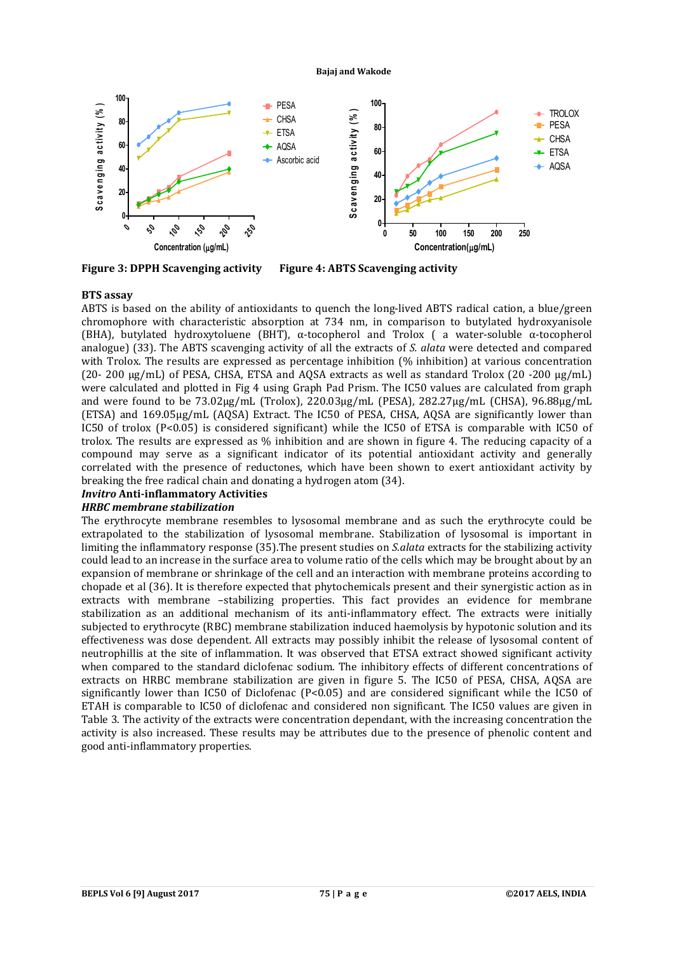

**Figure 3: DPPH Scavenging activity** 

**Figure 4: ABTS Scavenging activity** 

# **BTS assay**

ABTS is based on the ability of antioxidants to quench the long-lived ABTS radical cation, a blue/green chromophore with characteristic absorption at 734 nm, in comparison to butylated hydroxyanisole (BHA), butylated hydroxytoluene (BHT),  $\alpha$ -tocopherol and Trolox ( a water-soluble  $\alpha$ -tocopherol analogue) (33). The ABTS scavenging activity of all the extracts of *S. alata* were detected and compared with Trolox. The results are expressed as percentage inhibition (% inhibition) at various concentration (20- 200 μg/mL) of PESA, CHSA, ETSA and AQSA extracts as well as standard Trolox (20 -200 μg/mL) were calculated and plotted in Fig 4 using Graph Pad Prism. The IC50 values are calculated from graph and were found to be 73.02μg/mL (Trolox), 220.03μg/mL (PESA), 282.27μg/mL (CHSA), 96.88μg/mL (ETSA) and 169.05μg/mL (AQSA) Extract. The IC50 of PESA, CHSA, AQSA are significantly lower than IC50 of trolox (P<0.05) is considered significant) while the IC50 of ETSA is comparable with IC50 of trolox. The results are expressed as % inhibition and are shown in figure 4. The reducing capacity of a compound may serve as a significant indicator of its potential antioxidant activity and generally correlated with the presence of reductones, which have been shown to exert antioxidant activity by breaking the free radical chain and donating a hydrogen atom (34).

# *Invitro* **Anti-inflammatory Activities**

# *HRBC membrane stabilization*

The erythrocyte membrane resembles to lysosomal membrane and as such the erythrocyte could be extrapolated to the stabilization of lysosomal membrane. Stabilization of lysosomal is important in limiting the inflammatory response (35).The present studies on *S.alata* extracts for the stabilizing activity could lead to an increase in the surface area to volume ratio of the cells which may be brought about by an expansion of membrane or shrinkage of the cell and an interaction with membrane proteins according to chopade et al (36). It is therefore expected that phytochemicals present and their synergistic action as in extracts with membrane –stabilizing properties. This fact provides an evidence for membrane stabilization as an additional mechanism of its anti-inflammatory effect. The extracts were initially subjected to erythrocyte (RBC) membrane stabilization induced haemolysis by hypotonic solution and its effectiveness was dose dependent. All extracts may possibly inhibit the release of lysosomal content of neutrophillis at the site of inflammation. It was observed that ETSA extract showed significant activity when compared to the standard diclofenac sodium. The inhibitory effects of different concentrations of extracts on HRBC membrane stabilization are given in figure 5. The IC50 of PESA, CHSA, AQSA are significantly lower than IC50 of Diclofenac (P<0.05) and are considered significant while the IC50 of ETAH is comparable to IC50 of diclofenac and considered non significant. The IC50 values are given in Table 3. The activity of the extracts were concentration dependant, with the increasing concentration the activity is also increased. These results may be attributes due to the presence of phenolic content and good anti-inflammatory properties.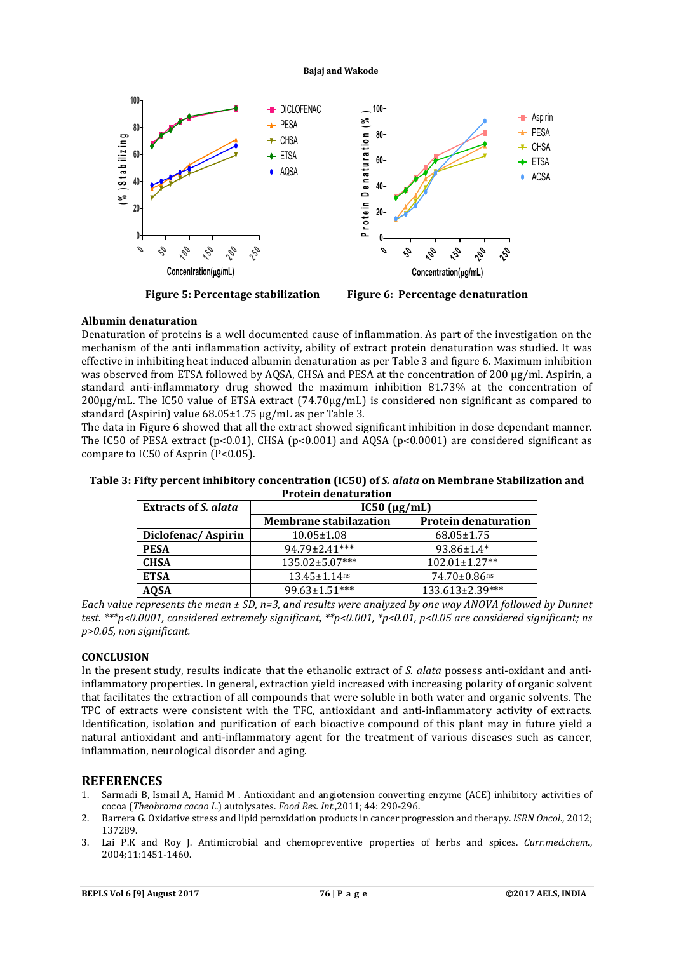

**Figure 5: Percentage stabilization Figure 6: Percentage denaturation**

# **Albumin denaturation**

Denaturation of proteins is a well documented cause of inflammation. As part of the investigation on the mechanism of the anti inflammation activity, ability of extract protein denaturation was studied. It was effective in inhibiting heat induced albumin denaturation as per Table 3 and figure 6. Maximum inhibition was observed from ETSA followed by AQSA, CHSA and PESA at the concentration of 200 μg/ml. Aspirin, a standard anti-inflammatory drug showed the maximum inhibition 81.73% at the concentration of 200μg/mL. The IC50 value of ETSA extract (74.70μg/mL) is considered non significant as compared to standard (Aspirin) value 68.05±1.75 μg/mL as per Table 3.

The data in Figure 6 showed that all the extract showed significant inhibition in dose dependant manner. The IC50 of PESA extract (p<0.01), CHSA (p<0.001) and AQSA (p<0.0001) are considered significant as compare to IC50 of Asprin (P<0.05).

| 11000111 GCMGCAI GCOM       |                               |                             |  |  |  |
|-----------------------------|-------------------------------|-----------------------------|--|--|--|
| <b>Extracts of S. alata</b> | $IC50$ ( $\mu$ g/mL)          |                             |  |  |  |
|                             | <b>Membrane stabilazation</b> | <b>Protein denaturation</b> |  |  |  |
| Diclofenac/Aspirin          | $10.05 \pm 1.08$              | $68.05 \pm 1.75$            |  |  |  |
| <b>PESA</b>                 | 94.79±2.41***                 | $93.86 \pm 1.4*$            |  |  |  |
| <b>CHSA</b>                 | 135.02±5.07***                | 102.01±1.27**               |  |  |  |
| <b>ETSA</b>                 | $13.45 \pm 1.14$ ns           | $74.70 \pm 0.86$ ns         |  |  |  |
| <b>AQSA</b>                 | 99.63±1.51***                 | 133.613±2.39***             |  |  |  |

**Table 3: Fifty percent inhibitory concentration (IC50) of** *S. alata* **on Membrane Stabilization and Protein denaturation**

*Each value represents the mean ± SD, n=3, and results were analyzed by one way ANOVA followed by Dunnet test. \*\*\*p<0.0001, considered extremely significant, \*\*p<0.001, \*p<0.01, p<0.05 are considered significant; ns p>0.05, non significant.*

# **CONCLUSION**

In the present study, results indicate that the ethanolic extract of *S. alata* possess anti-oxidant and antiinflammatory properties. In general, extraction yield increased with increasing polarity of organic solvent that facilitates the extraction of all compounds that were soluble in both water and organic solvents. The TPC of extracts were consistent with the TFC, antioxidant and anti-inflammatory activity of extracts. Identification, isolation and purification of each bioactive compound of this plant may in future yield a natural antioxidant and anti-inflammatory agent for the treatment of various diseases such as cancer, inflammation, neurological disorder and aging.

# **REFERENCES**

- 1. Sarmadi B, Ismail A, Hamid M . Antioxidant and angiotension converting enzyme (ACE) inhibitory activities of cocoa (*Theobroma cacao L*.) autolysates. *Food Res. Int.*,2011; 44: 290-296.
- 2. Barrera G. Oxidative stress and lipid peroxidation products in cancer progression and therapy. *ISRN Oncol*., 2012; 137289.
- 3. Lai P.K and Roy J. Antimicrobial and chemopreventive properties of herbs and spices. *Curr.med.chem*., 2004;11:1451-1460.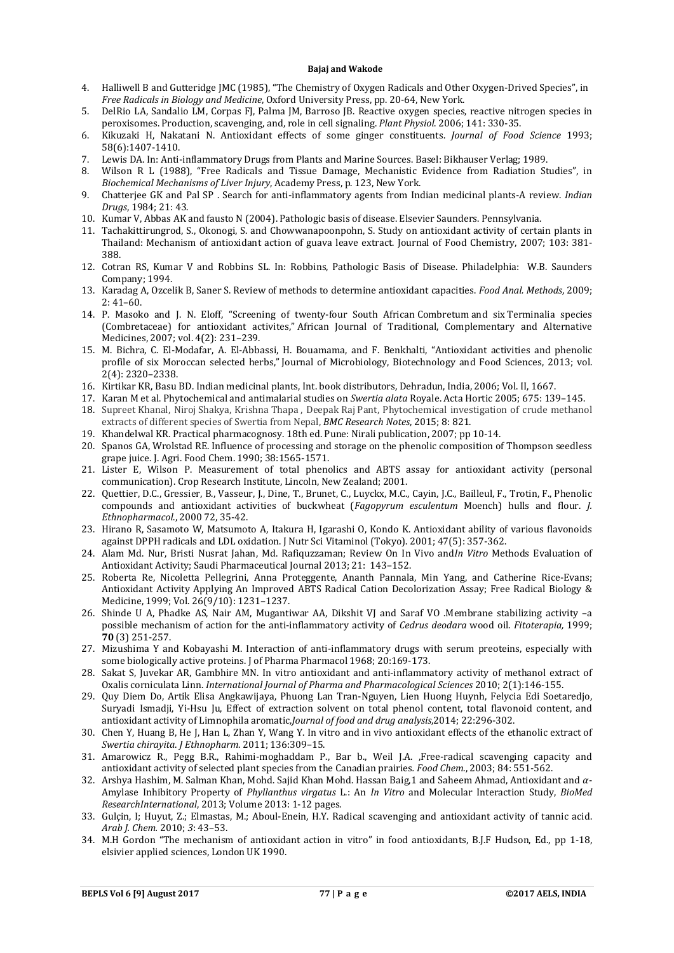- 4. Halliwell B and Gutteridge JMC (1985), "The Chemistry of Oxygen Radicals and Other Oxygen-Drived Species", in *Free Radicals in Biology and Medicine*, Oxford University Press, pp. 20-64, New York.
- 5. DelRio LA, Sandalio LM, Corpas FJ, Palma JM, Barroso JB. Reactive oxygen species, reactive nitrogen species in peroxisomes. Production, scavenging, and, role in cell signaling. *Plant Physiol*. 2006; 141: 330-35.
- 6. Kikuzaki H, Nakatani N. Antioxidant effects of some ginger constituents. *Journal of Food Science* 1993; 58(6):1407-1410.
- 7. Lewis DA. In: Anti-inflammatory Drugs from Plants and Marine Sources. Basel: Bikhauser Verlag; 1989.
- 8. Wilson R L (1988), "Free Radicals and Tissue Damage, Mechanistic Evidence from Radiation Studies", in *Biochemical Mechanisms of Liver Injury*, Academy Press, p. 123, New York.
- 9. Chatterjee GK and Pal SP . Search for anti-inflammatory agents from Indian medicinal plants-A review. *Indian Drugs*, 1984; 21: 43.
- 10. Kumar V, Abbas AK and fausto N (2004). Pathologic basis of disease. Elsevier Saunders. Pennsylvania.
- 11. Tachakittirungrod, S., Okonogi, S. and Chowwanapoonpohn, S. Study on antioxidant activity of certain plants in Thailand: Mechanism of antioxidant action of guava leave extract. Journal of Food Chemistry, 2007; 103: 381- 388.
- 12. Cotran RS, Kumar V and Robbins SL. In: Robbins, Pathologic Basis of Disease. Philadelphia: W.B. Saunders Company; 1994.
- 13. Karadag A, Ozcelik B, Saner S. Review of methods to determine antioxidant capacities. *Food Anal. Methods*, 2009;  $2: 41-60.$
- 14. P. Masoko and J. N. Eloff, "Screening of twenty-four South African Combretum and six Terminalia species (Combretaceae) for antioxidant activites," African Journal of Traditional, Complementary and Alternative Medicines, 2007; vol. 4(2): 231–239.
- 15. M. Bichra, C. El-Modafar, A. El-Abbassi, H. Bouamama, and F. Benkhalti, "Antioxidant activities and phenolic profile of six Moroccan selected herbs," Journal of Microbiology, Biotechnology and Food Sciences, 2013; vol. 2(4): 2320–2338.
- 16. Kirtikar KR, Basu BD. Indian medicinal plants, Int. book distributors, Dehradun, India, 2006; Vol. II, 1667.
- 17. Karan M et al. Phytochemical and antimalarial studies on *Swertia alata* Royale. Acta Hortic 2005; 675: 139–145.
- 18. Supreet Khanal, Niroj Shakya, Krishna Thapa , Deepak Raj Pant, Phytochemical investigation of crude methanol extracts of different species of Swertia from Nepal, *BMC Research Notes*, 2015; 8: 821.
- 19. Khandelwal KR. Practical pharmacognosy. 18th ed. Pune: Nirali publication, 2007; pp 10-14.
- 20. Spanos GA, Wrolstad RE. Influence of processing and storage on the phenolic composition of Thompson seedless grape juice. J. Agri. Food Chem. 1990; 38:1565-1571.
- 21. Lister E, Wilson P. Measurement of total phenolics and ABTS assay for antioxidant activity (personal communication). Crop Research Institute, Lincoln, New Zealand; 2001.
- 22. Quettier, D.C., Gressier, B., Vasseur, J., Dine, T., Brunet, C., Luyckx, M.C., Cayin, J.C., Bailleul, F., Trotin, F., Phenolic compounds and antioxidant activities of buckwheat (*Fagopyrum esculentum* Moench) hulls and flour. *J. Ethnopharmacol*., 2000 72, 35-42.
- 23. Hirano R, Sasamoto W, Matsumoto A, Itakura H, Igarashi O, Kondo K. Antioxidant ability of various flavonoids against DPPH radicals and LDL oxidation. J Nutr Sci Vitaminol (Tokyo). 2001; 47(5): 357-362.
- 24. Alam Md. Nur, Bristi Nusrat Jahan, Md. Rafiquzzaman; Review On In Vivo and*In Vitro* Methods Evaluation of Antioxidant Activity; Saudi Pharmaceutical Journal 2013; 21: 143–152.
- 25. Roberta Re, Nicoletta Pellegrini, Anna Proteggente, Ananth Pannala, Min Yang, and Catherine Rice-Evans; Antioxidant Activity Applying An Improved ABTS Radical Cation Decolorization Assay; Free Radical Biology & Medicine, 1999; Vol. 26(9/10): 1231–1237.
- 26. Shinde U A, Phadke AS, Nair AM, Mugantiwar AA, Dikshit VJ and Saraf VO .Membrane stabilizing activity –a possible mechanism of action for the anti-inflammatory activity of *Cedrus deodara* wood oil. *Fitoterapia,* 1999; **70** (3) 251-257.
- 27. Mizushima Y and Kobayashi M. Interaction of anti-inflammatory drugs with serum preoteins, especially with some biologically active proteins. J of Pharma Pharmacol 1968; 20:169-173.
- 28. Sakat S, Juvekar AR, Gambhire MN. In vitro antioxidant and anti-inflammatory activity of methanol extract of Oxalis corniculata Linn. *International Journal of Pharma and Pharmacological Sciences* 2010; 2(1):146-155.
- 29. Quy Diem Do, Artik Elisa Angkawijaya, Phuong Lan Tran-Nguyen, Lien Huong Huynh, Felycia Edi Soetaredjo, Suryadi Ismadji, Yi-Hsu Ju, Effect of extraction solvent on total phenol content, total flavonoid content, and antioxidant activity of Limnophila aromatic,*Journal of food and drug analysis*,2014; 22:296-302.
- 30. Chen Y, Huang B, He J, Han L, Zhan Y, Wang Y. In vitro and in vivo antioxidant effects of the ethanolic extract of *Swertia chirayita*. *J Ethnopharm*. 2011; 136:309–15.
- 31. Amarowicz R., Pegg B.R., Rahimi-moghaddam P., Bar b., Weil J.A. ,Free-radical scavenging capacity and antioxidant activity of selected plant species from the Canadian prairies*. Food Chem*., 2003; 84: 551-562.
- 32. Arshya Hashim, M. Salman Khan, Mohd. Sajid Khan Mohd. Hassan Baig,1 and Saheem Ahmad, Antioxidant and  $\alpha$ -Amylase Inhibitory Property of *Phyllanthus virgatus* L.: An *In Vitro* and Molecular Interaction Study, *BioMed ResearchInternational*, 2013; Volume 2013: 1-12 pages.
- 33. Gulçin, I; Huyut, Z.; Elmastas, M.; Aboul-Enein, H.Y. Radical scavenging and antioxidant activity of tannic acid. *Arab J. Chem.* 2010; *3*: 43–53.
- 34. M.H Gordon "The mechanism of antioxidant action in vitro" in food antioxidants, B.J.F Hudson, Ed., pp 1-18, elsivier applied sciences, London UK 1990.